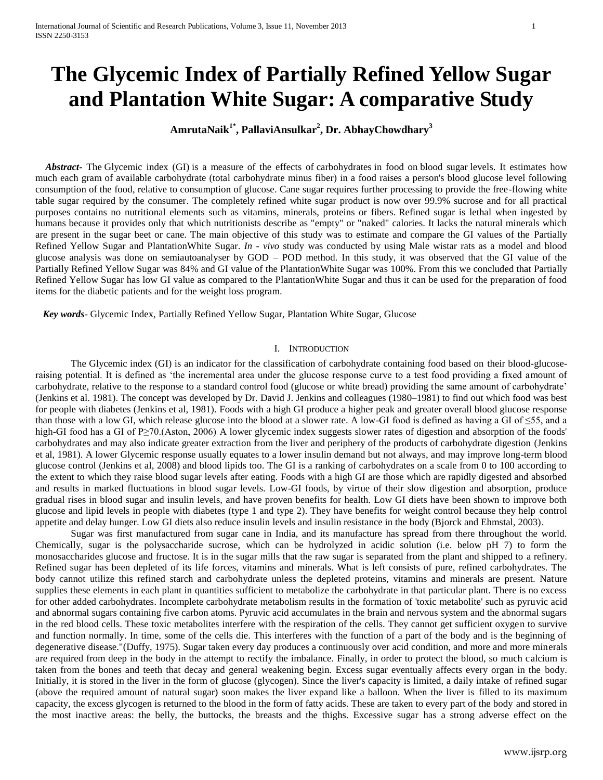# **The Glycemic Index of Partially Refined Yellow Sugar and Plantation White Sugar: A comparative Study**

## **AmrutaNaik1\*, PallaviAnsulkar<sup>2</sup> , Dr. AbhayChowdhary 3**

*Abstract* The Glycemic index (GI) is a measure of the effects of [carbohydrates](http://en.wikipedia.org/wiki/Carbohydrate) in food on [blood sugar](http://en.wikipedia.org/wiki/Blood_sugar) levels. It estimates how much each gram of available carbohydrate (total carbohydrate minus fiber) in a food raises a person's blood glucose level following consumption of the food, relative to consumption of glucose. Cane sugar requires further processing to provide the free-flowing white table sugar required by the consumer. The completely refined white sugar product is now over 99.9% sucrose and for all practical purposes contains no nutritional elements such as vitamins, minerals, proteins or fibers. Refined sugar is lethal when ingested by humans because it provides only that which nutritionists describe as "empty" or "naked" calories. It lacks the natural minerals which are present in the sugar beet or cane. The main objective of this study was to estimate and compare the GI values of the Partially Refined Yellow Sugar and PlantationWhite Sugar. *In - vivo* study was conducted by using Male wistar rats as a model and blood glucose analysis was done on semiautoanalyser by GOD – POD method. In this study, it was observed that the GI value of the Partially Refined Yellow Sugar was 84% and GI value of the PlantationWhite Sugar was 100%. From this we concluded that Partially Refined Yellow Sugar has low GI value as compared to the PlantationWhite Sugar and thus it can be used for the preparation of food items for the diabetic patients and for the weight loss program.

 *Key words*- Glycemic Index, Partially Refined Yellow Sugar, Plantation White Sugar, Glucose

#### I. INTRODUCTION

The Glycemic index (GI) is an indicator for the classification of carbohydrate containing food based on their blood-glucoseraising potential. It is defined as 'the incremental area under the glucose response curve to a test food providing a fixed amount of carbohydrate, relative to the response to a standard control food (glucose or white bread) providing the same amount of carbohydrate' (Jenkins et al. 1981). The concept was developed by Dr. David J. Jenkins and colleagues (1980–1981) to find out which food was best for people with diabetes (Jenkins et al, 1981). Foods with a high GI produce a higher peak and greater overall blood glucose response than those with a low GI, which release glucose into the blood at a slower rate. A low-GI food is defined as having a GI of  $\leq 55$ , and a high-GI food has a GI of P≥70.(Aston, 2006) A lower glycemic index suggests slower rates of digestion and absorption of the foods' carbohydrates and may also indicate greater extraction from the liver and periphery of the products of carbohydrate digestion (Jenkins et al, 1981). A lower Glycemic response usually equates to a lower insulin demand but not always, and may improve long-term blood glucose control (Jenkins et al, 2008) and blood lipids too. The GI is a ranking of carbohydrates on a scale from 0 to 100 according to the extent to which they raise blood sugar levels after eating. Foods with a high GI are those which are rapidly digested and absorbed and results in marked fluctuations in blood sugar levels. Low-GI foods, by virtue of their slow digestion and absorption, produce gradual rises in blood sugar and insulin levels, and have proven benefits for health. Low GI diets have been shown to improve both glucose and lipid levels in people with diabetes (type 1 and type 2). They have benefits for weight control because they help control appetite and delay hunger. Low GI diets also reduce insulin levels and insulin resistance in the body (Bjorck and Ehmstal, 2003).

Sugar was first manufactured from sugar cane in India, and its manufacture has spread from there throughout the world. Chemically, sugar is the polysaccharide sucrose, which can be hydrolyzed in acidic solution (i.e. below pH 7) to form the monosaccharides glucose and fructose. It is in the sugar mills that the raw sugar is separated from the plant and shipped to a refinery. Refined sugar has been depleted of its life forces, vitamins and minerals. What is left consists of pure, refined carbohydrates. The body cannot utilize this refined starch and carbohydrate unless the depleted proteins, vitamins and minerals are present. Nature supplies these elements in each plant in quantities sufficient to metabolize the carbohydrate in that particular plant. There is no excess for other added carbohydrates. Incomplete carbohydrate metabolism results in the formation of 'toxic metabolite' such as pyruvic acid and abnormal sugars containing five carbon atoms. Pyruvic acid accumulates in the brain and nervous system and the abnormal sugars in the red blood cells. These toxic metabolites interfere with the respiration of the cells. They cannot get sufficient oxygen to survive and function normally. In time, some of the cells die. This interferes with the function of a part of the body and is the beginning of degenerative disease."(Duffy, 1975). Sugar taken every day produces a continuously over acid condition, and more and more minerals are required from deep in the body in the attempt to rectify the imbalance. Finally, in order to protect the blood, so much calcium is taken from the bones and teeth that decay and general weakening begin. Excess sugar eventually affects every organ in the body. Initially, it is stored in the liver in the form of glucose (glycogen). Since the liver's capacity is limited, a daily intake of refined sugar (above the required amount of natural sugar) soon makes the liver expand like a balloon. When the liver is filled to its maximum capacity, the excess glycogen is returned to the blood in the form of fatty acids. These are taken to every part of the body and stored in the most inactive areas: the belly, the buttocks, the breasts and the thighs. Excessive sugar has a strong adverse effect on the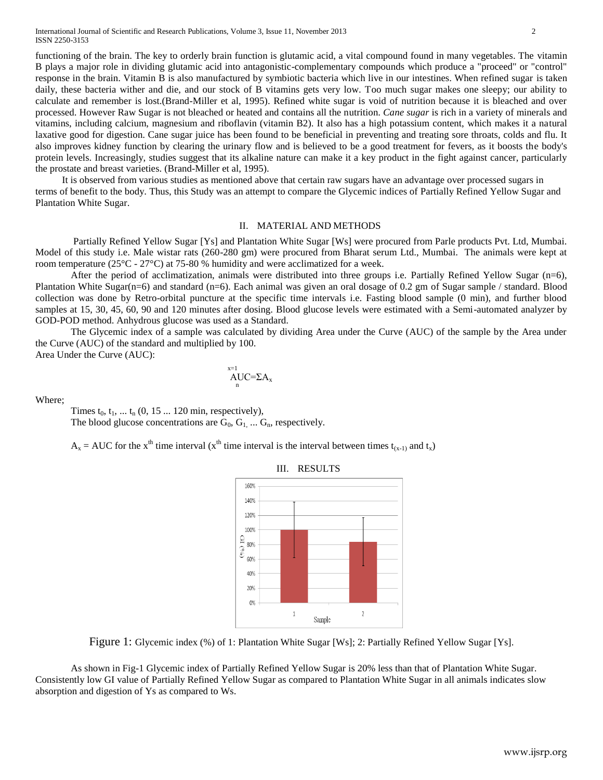functioning of the brain. The key to orderly brain function is glutamic acid, a vital compound found in many vegetables. The vitamin B plays a major role in dividing glutamic acid into antagonistic-complementary compounds which produce a "proceed" or "control" response in the brain. Vitamin B is also manufactured by symbiotic bacteria which live in our intestines. When refined sugar is taken daily, these bacteria wither and die, and our stock of B vitamins gets very low. Too much sugar makes one sleepy; our ability to calculate and remember is lost.(Brand-Miller et al, 1995). Refined white sugar is void of nutrition because it is bleached and over processed. However Raw Sugar is not bleached or heated and contains all the nutrition. *Cane sugar* is rich in a variety of minerals and vitamins, including calcium, magnesium and riboflavin (vitamin B2). It also has a high potassium content, which makes it a natural laxative good for digestion. Cane sugar juice has been found to be beneficial in preventing and treating sore throats, colds and flu. It also improves kidney function by clearing the urinary flow and is believed to be a good treatment for fevers, as it boosts the body's protein levels. Increasingly, studies suggest that its alkaline nature can make it a key product in the fight against cancer, particularly the prostate and breast varieties. (Brand-Miller et al, 1995).

It is observed from various studies as mentioned above that certain raw sugars have an advantage over processed sugars in terms of benefit to the body. Thus, this Study was an attempt to compare the Glycemic indices of Partially Refined Yellow Sugar and Plantation White Sugar.

#### II. MATERIAL AND METHODS

Partially Refined Yellow Sugar [Ys] and Plantation White Sugar [Ws] were procured from Parle products Pvt. Ltd, Mumbai. Model of this study i.e. Male wistar rats (260-280 gm) were procured from Bharat serum Ltd., Mumbai. The animals were kept at room temperature (25°C - 27°C) at 75-80 % humidity and were acclimatized for a week.

After the period of acclimatization, animals were distributed into three groups i.e. Partially Refined Yellow Sugar (n=6), Plantation White Sugar(n=6) and standard (n=6). Each animal was given an oral dosage of 0.2 gm of Sugar sample / standard. Blood collection was done by Retro-orbital puncture at the specific time intervals i.e. Fasting blood sample (0 min), and further blood samples at 15, 30, 45, 60, 90 and 120 minutes after dosing. Blood glucose levels were estimated with a Semi-automated analyzer by GOD-POD method. Anhydrous glucose was used as a Standard.

The Glycemic index of a sample was calculated by dividing Area under the Curve (AUC) of the sample by the Area under the Curve (AUC) of the standard and multiplied by 100. Area Under the Curve (AUC):

Where;

Times  $t_0, t_1, ... t_n$  (0, 15 ... 120 min, respectively),

n<br>n

 $x=1$ 

The blood glucose concentrations are  $G_0, G_1, \ldots, G_n$ , respectively.

 $A_x = AUC$  for the x<sup>th</sup> time interval (x<sup>th</sup> time interval is the interval between times t<sub>(x-1)</sub> and t<sub>x</sub>)

 $AUC = ΣA<sub>x</sub>$ 



Figure 1: Glycemic index (%) of 1: Plantation White Sugar [Ws]; 2: Partially Refined Yellow Sugar [Ys].

As shown in Fig-1 Glycemic index of Partially Refined Yellow Sugar is 20% less than that of Plantation White Sugar. Consistently low GI value of Partially Refined Yellow Sugar as compared to Plantation White Sugar in all animals indicates slow absorption and digestion of Ys as compared to Ws.

$$
\;2\;
$$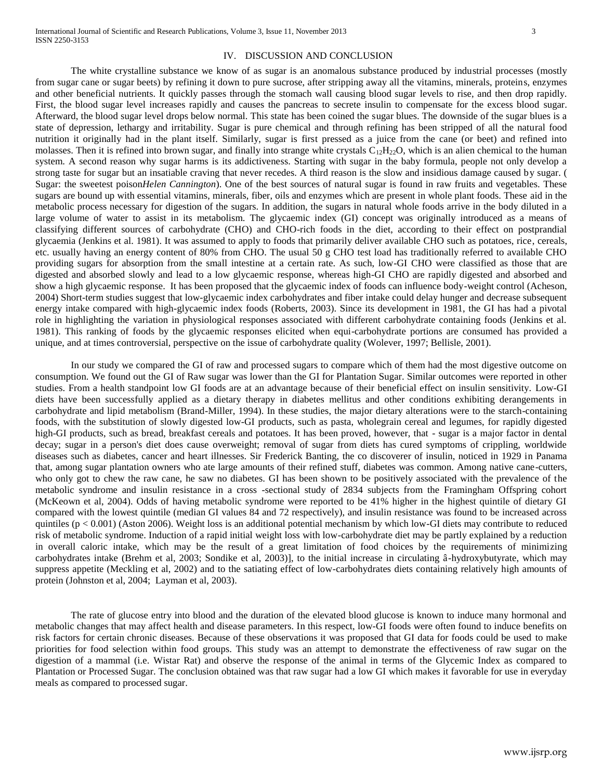#### IV. DISCUSSION AND CONCLUSION

The white crystalline substance we know of as sugar is an anomalous substance produced by industrial processes (mostly from sugar cane or sugar beets) by refining it down to pure sucrose, after stripping away all the vitamins, minerals, proteins, enzymes and other beneficial nutrients. It quickly passes through the stomach wall causing blood sugar levels to rise, and then drop rapidly. First, the blood sugar level increases rapidly and causes the pancreas to secrete insulin to compensate for the excess blood sugar. Afterward, the blood sugar level drops below normal. This state has been coined the sugar blues. The downside of the sugar blues is a state of depression, lethargy and irritability. Sugar is pure chemical and through refining has been stripped of all the natural food nutrition it originally had in the plant itself. Similarly, sugar is first pressed as a juice from the cane (or beet) and refined into molasses. Then it is refined into brown sugar, and finally into strange white crystals  $C_{12}H_{22}O$ , which is an alien chemical to the human system. A second reason why sugar harms is its addictiveness. Starting with sugar in the baby formula, people not only develop a strong taste for sugar but an insatiable craving that never recedes. A third reason is the slow and insidious damage caused by sugar. ( Sugar: the sweetest poison*Helen Cannington*). One of the best sources of natural sugar is found in raw fruits and vegetables. These sugars are bound up with essential vitamins, minerals, fiber, oils and enzymes which are present in whole plant foods. These aid in the metabolic process necessary for digestion of the sugars. In addition, the sugars in natural whole foods arrive in the body diluted in a large volume of water to assist in its metabolism. The glycaemic index (GI) concept was originally introduced as a means of classifying different sources of carbohydrate (CHO) and CHO-rich foods in the diet, according to their effect on postprandial glycaemia (Jenkins et al. 1981). It was assumed to apply to foods that primarily deliver available CHO such as potatoes, rice, cereals, etc. usually having an energy content of 80% from CHO. The usual 50 g CHO test load has traditionally referred to available CHO providing sugars for absorption from the small intestine at a certain rate. As such, low-GI CHO were classified as those that are digested and absorbed slowly and lead to a low glycaemic response, whereas high-GI CHO are rapidly digested and absorbed and show a high glycaemic response. It has been proposed that the glycaemic index of foods can influence body-weight control (Acheson, 2004) Short-term studies suggest that low-glycaemic index carbohydrates and fiber intake could delay hunger and decrease subsequent energy intake compared with high-glycaemic index foods (Roberts, 2003). Since its development in 1981, the GI has had a pivotal role in highlighting the variation in physiological responses associated with different carbohydrate containing foods (Jenkins et al. 1981). This ranking of foods by the glycaemic responses elicited when equi-carbohydrate portions are consumed has provided a unique, and at times controversial, perspective on the issue of carbohydrate quality (Wolever, 1997; Bellisle, 2001).

In our study we compared the GI of raw and processed sugars to compare which of them had the most digestive outcome on consumption. We found out the GI of Raw sugar was lower than the GI for Plantation Sugar. Similar outcomes were reported in other studies. From a health standpoint low GI foods are at an advantage because of their beneficial effect on insulin sensitivity. Low-GI diets have been successfully applied as a dietary therapy in diabetes mellitus and other conditions exhibiting derangements in carbohydrate and lipid metabolism (Brand-Miller, 1994). In these studies, the major dietary alterations were to the starch-containing foods, with the substitution of slowly digested low-GI products, such as pasta, wholegrain cereal and legumes, for rapidly digested high-GI products, such as bread, breakfast cereals and potatoes. It has been proved, however, that - sugar is a major factor in dental decay; sugar in a person's diet does cause overweight; removal of sugar from diets has cured symptoms of crippling, worldwide diseases such as diabetes, cancer and heart illnesses. Sir Frederick Banting, the co discoverer of insulin, noticed in 1929 in Panama that, among sugar plantation owners who ate large amounts of their refined stuff, diabetes was common. Among native cane-cutters, who only got to chew the raw cane, he saw no diabetes. GI has been shown to be positively associated with the prevalence of the metabolic syndrome and insulin resistance in a cross -sectional study of 2834 subjects from the Framingham Offspring cohort (McKeown et al, 2004). Odds of having metabolic syndrome were reported to be 41% higher in the highest quintile of dietary GI compared with the lowest quintile (median GI values 84 and 72 respectively), and insulin resistance was found to be increased across quintiles (p < 0.001) (Aston 2006). Weight loss is an additional potential mechanism by which low-GI diets may contribute to reduced risk of metabolic syndrome. Induction of a rapid initial weight loss with low-carbohydrate diet may be partly explained by a reduction in overall caloric intake, which may be the result of a great limitation of food choices by the requirements of minimizing carbohydrates intake (Brehm et al, 2003; Sondike et al, 2003)], to the initial increase in circulating â-hydroxybutyrate, which may suppress appetite (Meckling et al, 2002) and to the satiating effect of low-carbohydrates diets containing relatively high amounts of protein (Johnston et al, 2004; Layman et al, 2003).

The rate of glucose entry into blood and the duration of the elevated blood glucose is known to induce many hormonal and metabolic changes that may affect health and disease parameters. In this respect, low-GI foods were often found to induce benefits on risk factors for certain chronic diseases. Because of these observations it was proposed that GI data for foods could be used to make priorities for food selection within food groups. This study was an attempt to demonstrate the effectiveness of raw sugar on the digestion of a mammal (i.e. Wistar Rat) and observe the response of the animal in terms of the Glycemic Index as compared to Plantation or Processed Sugar. The conclusion obtained was that raw sugar had a low GI which makes it favorable for use in everyday meals as compared to processed sugar.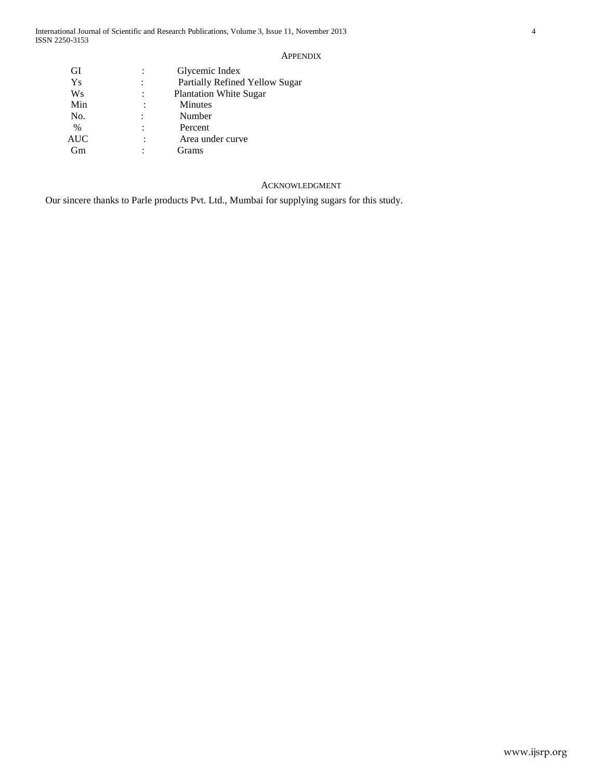#### APPENDIX

| GH            | :                    | Glycemic Index                 |
|---------------|----------------------|--------------------------------|
| Ys            | :                    | Partially Refined Yellow Sugar |
| Ws            | $\ddot{\cdot}$       | <b>Plantation White Sugar</b>  |
| Min           |                      | Minutes                        |
| No.           | $\ddot{\cdot}$       | Number                         |
| $\frac{0}{0}$ | $\ddot{\cdot}$       | Percent                        |
| <b>AUC</b>    |                      | Area under curve               |
| Gm            | $\ddot{\phantom{a}}$ | Grams                          |
|               |                      |                                |

### ACKNOWLEDGMENT

Our sincere thanks to Parle products Pvt. Ltd., Mumbai for supplying sugars for this study.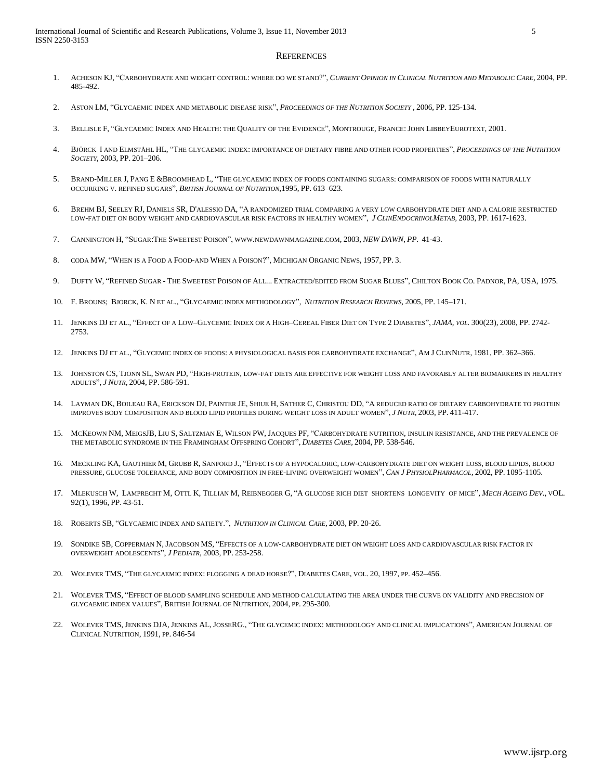#### **REFERENCES**

- 1. ACHESON KJ, "CARBOHYDRATE AND WEIGHT CONTROL: WHERE DO WE STAND?", *CURRENT OPINION IN CLINICAL NUTRITION AND METABOLIC CARE*, 2004, PP. 485-492.
- 2. ASTON LM, "GLYCAEMIC INDEX AND METABOLIC DISEASE RISK", *PROCEEDINGS OF THE NUTRITION SOCIETY ,* 2006, PP. 125-134.
- 3. BELLISLE F, "GLYCAEMIC INDEX AND HEALTH: THE QUALITY OF THE EVIDENCE", MONTROUGE, FRANCE: JOHN LIBBEYEUROTEXT, 2001.
- 4. BJÖRCK I AND ELMSTÅHL HL, "THE GLYCAEMIC INDEX: IMPORTANCE OF DIETARY FIBRE AND OTHER FOOD PROPERTIES", *PROCEEDINGS OF THE NUTRITION SOCIETY,* 2003, PP. 201–206.
- 5. BRAND-MILLER J, PANG E &BROOMHEAD L, "THE GLYCAEMIC INDEX OF FOODS CONTAINING SUGARS: COMPARISON OF FOODS WITH NATURALLY OCCURRING V. REFINED SUGARS", *BRITISH JOURNAL OF NUTRITION*,1995, PP. 613–623.
- 6. BREHM BJ, SEELEY RJ, DANIELS SR, D'ALESSIO DA, "A RANDOMIZED TRIAL COMPARING A VERY LOW CARBOHYDRATE DIET AND A CALORIE RESTRICTED LOW-FAT DIET ON BODY WEIGHT AND CARDIOVASCULAR RISK FACTORS IN HEALTHY WOMEN", *J CLINENDOCRINOLMETAB,* 2003, PP. 1617-1623.
- 7. CANNINGTON H, "SUGAR:THE SWEETEST POISON", WWW.[NEWDAWNMAGAZINE](http://www.newdawnmagazine.com/).COM, 2003, *NEW DAWN, PP.* 41-43.
- 8. CODA MW, "WHEN IS A FOOD A FOOD-AND WHEN A POISON?", MICHIGAN ORGANIC NEWS, 1957, PP. 3.
- 9. DUFTY W, "REFINED SUGAR THE SWEETEST POISON OF ALL... EXTRACTED/EDITED FROM SUGAR BLUES", CHILTON BOOK CO. PADNOR, PA, USA, 1975.
- 10. F. BROUNS; BJORCK, K. N ET AL., "GLYCAEMIC INDEX METHODOLOGY", *NUTRITION RESEARCH REVIEWS,* 2005, PP. 145–171.
- 11. JENKINS DJ ET AL., "EFFECT OF A LOW–GLYCEMIC INDEX OR A HIGH–CEREAL FIBER DIET ON TYPE 2 DIABETES", *JAMA, VOL.* 300(23), 2008, PP. 2742- 2753.
- 12. JENKINS DJ ET AL., "GLYCEMIC INDEX OF FOODS: A PHYSIOLOGICAL BASIS FOR CARBOHYDRATE EXCHANGE", AM J CLINNUTR, 1981, PP. 362–366.
- 13. JOHNSTON CS, TJONN SL, SWAN PD, "HIGH-PROTEIN, LOW-FAT DIETS ARE EFFECTIVE FOR WEIGHT LOSS AND FAVORABLY ALTER BIOMARKERS IN HEALTHY ADULTS", *J NUTR,* 2004, PP. 586-591.
- 14. LAYMAN DK, BOILEAU RA, ERICKSON DJ, PAINTER JE, SHIUE H, SATHER C, CHRISTOU DD, "A REDUCED RATIO OF DIETARY CARBOHYDRATE TO PROTEIN IMPROVES BODY COMPOSITION AND BLOOD LIPID PROFILES DURING WEIGHT LOSS IN ADULT WOMEN", *J NUTR,* 2003, PP. 411-417.
- 15. MCKEOWN NM, MEIGSJB, LIU S, SALTZMAN E, WILSON PW, JACQUES PF, "CARBOHYDRATE NUTRITION, INSULIN RESISTANCE, AND THE PREVALENCE OF THE METABOLIC SYNDROME IN THE FRAMINGHAM OFFSPRING COHORT", *DIABETES CARE,* 2004, PP. 538-546.
- 16. MECKLING KA, GAUTHIER M, GRUBB R, SANFORD J., "EFFECTS OF A HYPOCALORIC, LOW-CARBOHYDRATE DIET ON WEIGHT LOSS, BLOOD LIPIDS, BLOOD PRESSURE, GLUCOSE TOLERANCE, AND BODY COMPOSITION IN FREE-LIVING OVERWEIGHT WOMEN", *CAN J PHYSIOLPHARMACOL,* 2002, PP. 1095-1105.
- 17. MLEKUSCH W, LAMPRECHT M, OTTL K, TILLIAN M, REIBNEGGER G, "A GLUCOSE RICH DIET SHORTENS LONGEVITY OF MICE", *MECH AGEING DEV*., VOL. 92(1), 1996, PP. 43-51.
- 18. ROBERTS SB, "GLYCAEMIC INDEX AND SATIETY.", *NUTRITION IN CLINICAL CARE,* 2003, PP. 20-26.
- 19. SONDIKE SB, COPPERMAN N, JACOBSON MS, "EFFECTS OF A LOW-CARBOHYDRATE DIET ON WEIGHT LOSS AND CARDIOVASCULAR RISK FACTOR IN OVERWEIGHT ADOLESCENTS", *J PEDIATR,* 2003, PP. 253-258.
- 20. WOLEVER TMS, "THE GLYCAEMIC INDEX: FLOGGING A DEAD HORSE?", DIABETES CARE, VOL. 20, 1997, PP. 452–456.
- 21. WOLEVER TMS, "EFFECT OF BLOOD SAMPLING SCHEDULE AND METHOD CALCULATING THE AREA UNDER THE CURVE ON VALIDITY AND PRECISION OF GLYCAEMIC INDEX VALUES", BRITISH JOURNAL OF NUTRITION, 2004, PP. 295-300.
- 22. WOLEVER TMS, JENKINS DJA, JENKINS AL, JOSSERG., "THE GLYCEMIC INDEX: METHODOLOGY AND CLINICAL IMPLICATIONS", AMERICAN JOURNAL OF CLINICAL NUTRITION, 1991, PP. 846-54